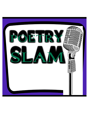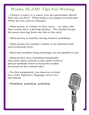## Poetry SLAM! Tips For Writing

- Choose a topic or a cause you are passionate about! How do you feel? What makes you angry/excited/sad? What do you want to change?

- Slam poetry is written in free verse... no rules, but they mostly have a driving rhythm. The rhythm keeps the poem moving from one line to the next.

- Slam poetry is usually strong, honest, and blunt.

- Slam poems are usually written in an informal and conversational style.

- Relevant modern slang and lingo are acceptable to use.

- Slam poetry uses repetition frequently. The poet often returns to the same word or phrase multiple times to keep the reader focussed on the central idea.

- For this assignment, you must use at least two of the figurative language devices we've been studying.

- Practice, practice, practice.